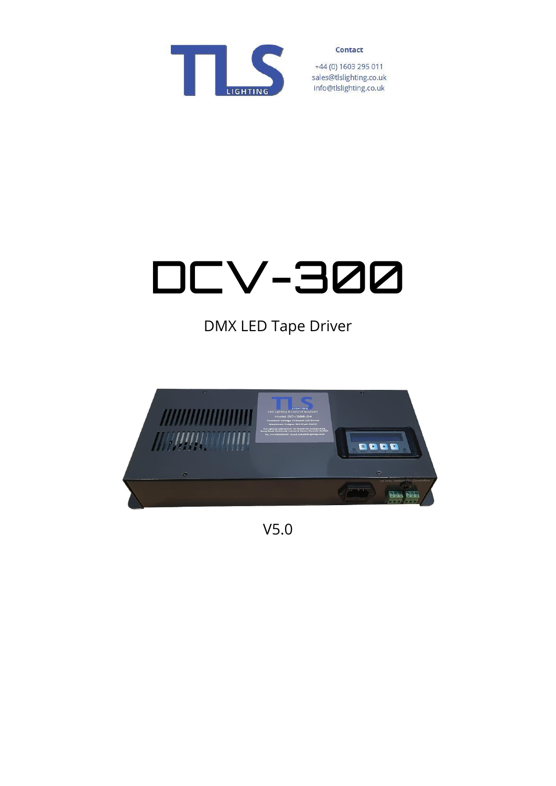

+44 (0) 1603 295 011 sales@tlslighting.co.uk info@tlslighting.co.uk

# DCV-300

DMX LED Tape Driver



V5.0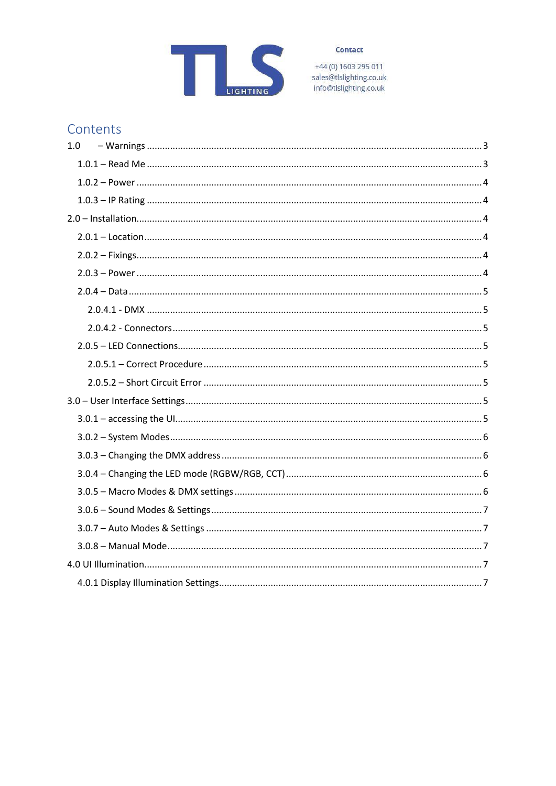

+44 (0) 1603 295 011<br>sales@tlslighting.co.uk info@tlslighting.co.uk

## Contents

| 1.0 |
|-----|
|     |
|     |
|     |
|     |
|     |
|     |
|     |
|     |
|     |
|     |
|     |
|     |
|     |
|     |
|     |
|     |
|     |
|     |
|     |
|     |
|     |
|     |
|     |
|     |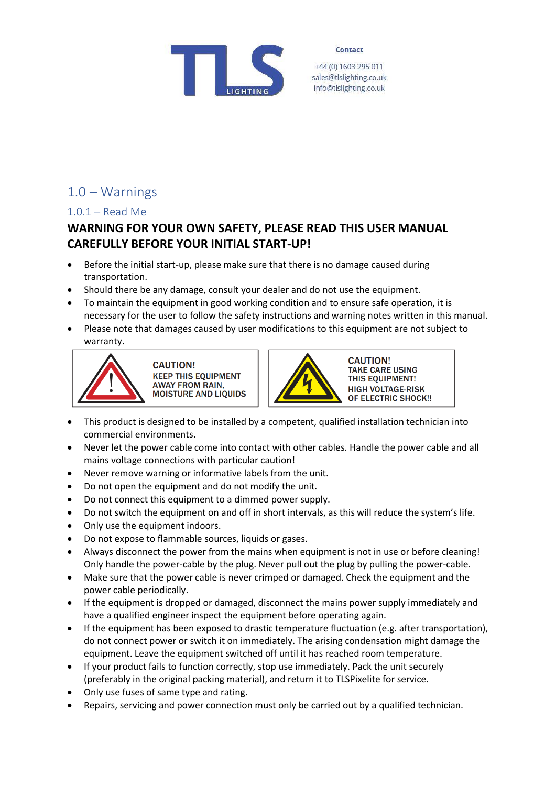

+44 (0) 1603 295 011 sales@tlslighting.co.uk info@tlslighting.co.uk

## <span id="page-2-0"></span>1.0 – Warnings

#### <span id="page-2-1"></span>1.0.1 – Read Me

## **WARNING FOR YOUR OWN SAFETY, PLEASE READ THIS USER MANUAL CAREFULLY BEFORE YOUR INITIAL START-UP!**

- Before the initial start-up, please make sure that there is no damage caused during transportation.
- Should there be any damage, consult your dealer and do not use the equipment.
- To maintain the equipment in good working condition and to ensure safe operation, it is necessary for the user to follow the safety instructions and warning notes written in this manual.
- Please note that damages caused by user modifications to this equipment are not subject to warranty.



**CAUTION! KEEP THIS EQUIPMENT AWAY FROM RAIN, MOISTURE AND LIQUIDS** 



**CAUTION! TAKE CARE USING** THIS EQUIPMENT! **HIGH VOLTAGE-RISK OF ELECTRIC SHOCK!!** 

- This product is designed to be installed by a competent, qualified installation technician into commercial environments.
- Never let the power cable come into contact with other cables. Handle the power cable and all mains voltage connections with particular caution!
- Never remove warning or informative labels from the unit.
- Do not open the equipment and do not modify the unit.
- Do not connect this equipment to a dimmed power supply.
- Do not switch the equipment on and off in short intervals, as this will reduce the system's life.
- Only use the equipment indoors.
- Do not expose to flammable sources, liquids or gases.
- Always disconnect the power from the mains when equipment is not in use or before cleaning! Only handle the power-cable by the plug. Never pull out the plug by pulling the power-cable.
- Make sure that the power cable is never crimped or damaged. Check the equipment and the power cable periodically.
- If the equipment is dropped or damaged, disconnect the mains power supply immediately and have a qualified engineer inspect the equipment before operating again.
- If the equipment has been exposed to drastic temperature fluctuation (e.g. after transportation), do not connect power or switch it on immediately. The arising condensation might damage the equipment. Leave the equipment switched off until it has reached room temperature.
- If your product fails to function correctly, stop use immediately. Pack the unit securely (preferably in the original packing material), and return it to TLSPixelite for service.
- Only use fuses of same type and rating.
- Repairs, servicing and power connection must only be carried out by a qualified technician.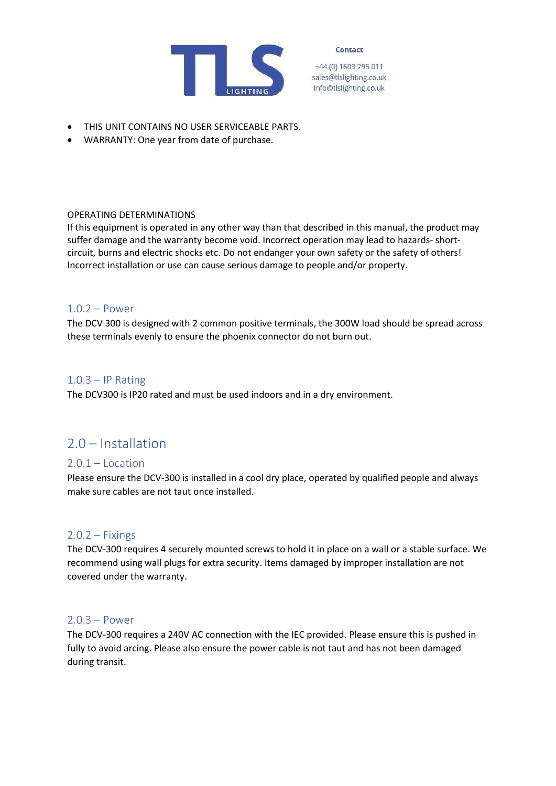

+44 (0) 1603 295 011 sales@tlslighting.co.uk info@tlslighting.co.uk

- THIS UNIT CONTAINS NO USER SERVICEABLE PARTS.
- WARRANTY: One year from date of purchase.

#### OPERATING DETERMINATIONS

If this equipment is operated in any other way than that described in this manual, the product may suffer damage and the warranty become void. Incorrect operation may lead to hazards- shortcircuit, burns and electric shocks etc. Do not endanger your own safety or the safety of others! Incorrect installation or use can cause serious damage to people and/or property.

#### <span id="page-3-0"></span>1.0.2 – Power

The DCV 300 is designed with 2 common positive terminals, the 300W load should be spread across these terminals evenly to ensure the phoenix connector do not burn out.

#### <span id="page-3-1"></span> $1.0.3 - IP$  Rating

The DCV300 is IP20 rated and must be used indoors and in a dry environment.

## <span id="page-3-2"></span>2.0 – Installation

#### <span id="page-3-3"></span>2.0.1 – Location

Please ensure the DCV-300 is installed in a cool dry place, operated by qualified people and always make sure cables are not taut once installed.

#### <span id="page-3-4"></span> $2.0.2 - Fixings$

The DCV-300 requires 4 securely mounted screws to hold it in place on a wall or a stable surface. We recommend using wall plugs for extra security. Items damaged by improper installation are not covered under the warranty.

#### <span id="page-3-5"></span>2.0.3 – Power

The DCV-300 requires a 240V AC connection with the IEC provided. Please ensure this is pushed in fully to avoid arcing. Please also ensure the power cable is not taut and has not been damaged during transit.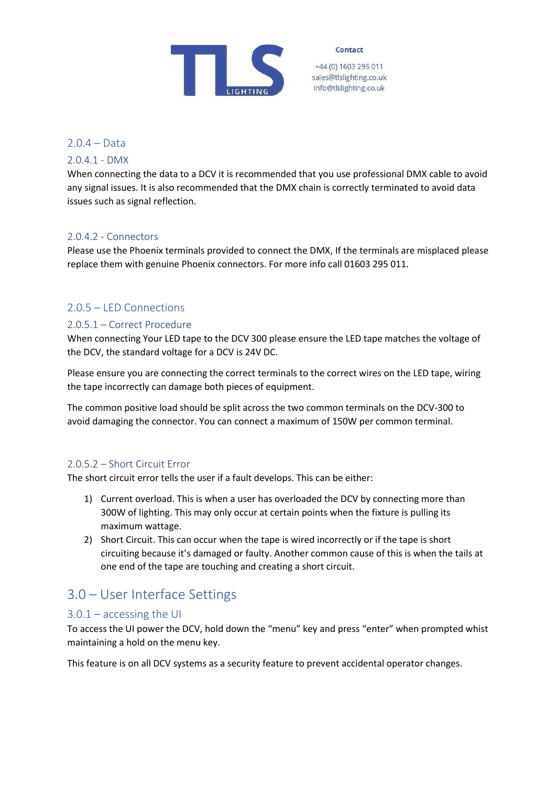

+44 (0) 1603 295 011 sales@tlslighting.co.uk info@tlslighting.co.uk

<span id="page-4-0"></span>2.0.4 – Data

#### <span id="page-4-1"></span>2.0.4.1 - DMX

When connecting the data to a DCV it is recommended that you use professional DMX cable to avoid any signal issues. It is also recommended that the DMX chain is correctly terminated to avoid data issues such as signal reflection.

#### <span id="page-4-2"></span>2.0.4.2 - Connectors

Please use the Phoenix terminals provided to connect the DMX, If the terminals are misplaced please replace them with genuine Phoenix connectors. For more info call 01603 295 011.

#### <span id="page-4-3"></span>2.0.5 – LED Connections

#### <span id="page-4-4"></span>2.0.5.1 – Correct Procedure

When connecting Your LED tape to the DCV 300 please ensure the LED tape matches the voltage of the DCV, the standard voltage for a DCV is 24V DC.

Please ensure you are connecting the correct terminals to the correct wires on the LED tape, wiring the tape incorrectly can damage both pieces of equipment.

The common positive load should be split across the two common terminals on the DCV-300 to avoid damaging the connector. You can connect a maximum of 150W per common terminal.

#### <span id="page-4-5"></span>2.0.5.2 – Short Circuit Error

The short circuit error tells the user if a fault develops. This can be either:

- 1) Current overload. This is when a user has overloaded the DCV by connecting more than 300W of lighting. This may only occur at certain points when the fixture is pulling its maximum wattage.
- 2) Short Circuit. This can occur when the tape is wired incorrectly or if the tape is short circuiting because it's damaged or faulty. Another common cause of this is when the tails at one end of the tape are touching and creating a short circuit.

## <span id="page-4-6"></span>3.0 – User Interface Settings

#### <span id="page-4-7"></span>3.0.1 – accessing the UI

To access the UI power the DCV, hold down the "menu" key and press "enter" when prompted whist maintaining a hold on the menu key.

This feature is on all DCV systems as a security feature to prevent accidental operator changes.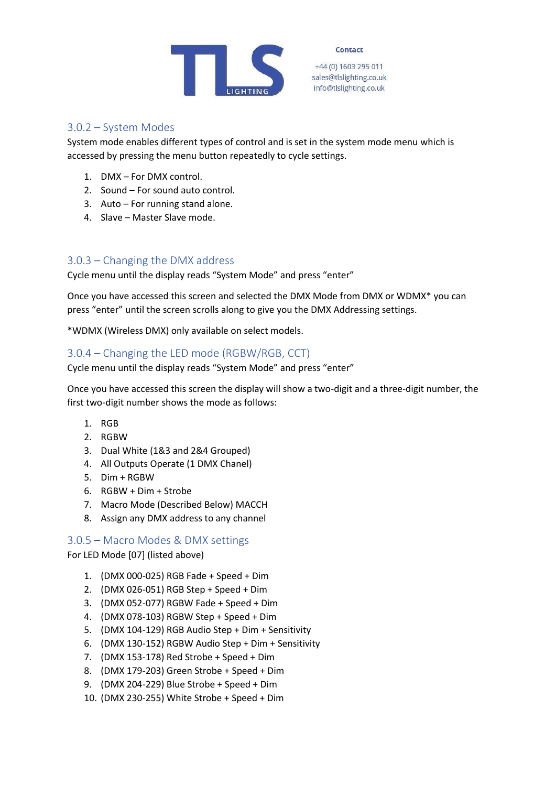

+44 (0) 1603 295 011 sales@tlslighting.co.uk info@tlslighting.co.uk

#### <span id="page-5-0"></span>3.0.2 – System Modes

System mode enables different types of control and is set in the system mode menu which is accessed by pressing the menu button repeatedly to cycle settings.

- 1. DMX For DMX control.
- 2. Sound For sound auto control.
- 3. Auto For running stand alone.
- 4. Slave Master Slave mode.

#### <span id="page-5-1"></span>3.0.3 – Changing the DMX address

Cycle menu until the display reads "System Mode" and press "enter"

Once you have accessed this screen and selected the DMX Mode from DMX or WDMX\* you can press "enter" until the screen scrolls along to give you the DMX Addressing settings.

\*WDMX (Wireless DMX) only available on select models.

#### <span id="page-5-2"></span>3.0.4 – Changing the LED mode (RGBW/RGB, CCT)

Cycle menu until the display reads "System Mode" and press "enter"

Once you have accessed this screen the display will show a two-digit and a three-digit number, the first two-digit number shows the mode as follows:

- 1. RGB
- 2. RGBW
- 3. Dual White (1&3 and 2&4 Grouped)
- 4. All Outputs Operate (1 DMX Chanel)
- 5. Dim + RGBW
- 6. RGBW + Dim + Strobe
- 7. Macro Mode (Described Below) MACCH
- 8. Assign any DMX address to any channel

#### <span id="page-5-3"></span>3.0.5 – Macro Modes & DMX settings

For LED Mode [07] (listed above)

- 1. (DMX 000-025) RGB Fade + Speed + Dim
- 2. (DMX 026-051) RGB Step + Speed + Dim
- 3. (DMX 052-077) RGBW Fade + Speed + Dim
- 4. (DMX 078-103) RGBW Step + Speed + Dim
- 5. (DMX 104-129) RGB Audio Step + Dim + Sensitivity
- 6. (DMX 130-152) RGBW Audio Step + Dim + Sensitivity
- 7. (DMX 153-178) Red Strobe + Speed + Dim
- 8. (DMX 179-203) Green Strobe + Speed + Dim
- 9. (DMX 204-229) Blue Strobe + Speed + Dim
- 10. (DMX 230-255) White Strobe + Speed + Dim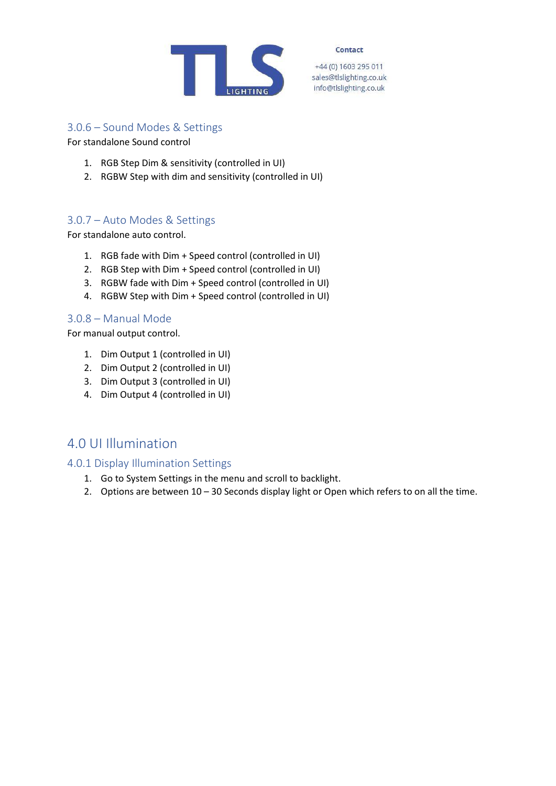

+44 (0) 1603 295 011 sales@tlslighting.co.uk info@tlslighting.co.uk

#### <span id="page-6-0"></span>3.0.6 – Sound Modes & Settings

For standalone Sound control

- 1. RGB Step Dim & sensitivity (controlled in UI)
- 2. RGBW Step with dim and sensitivity (controlled in UI)

#### <span id="page-6-1"></span>3.0.7 – Auto Modes & Settings

For standalone auto control.

- 1. RGB fade with Dim + Speed control (controlled in UI)
- 2. RGB Step with Dim + Speed control (controlled in UI)
- 3. RGBW fade with Dim + Speed control (controlled in UI)
- 4. RGBW Step with Dim + Speed control (controlled in UI)

#### <span id="page-6-2"></span>3.0.8 – Manual Mode

For manual output control.

- 1. Dim Output 1 (controlled in UI)
- 2. Dim Output 2 (controlled in UI)
- 3. Dim Output 3 (controlled in UI)
- 4. Dim Output 4 (controlled in UI)

## <span id="page-6-3"></span>4.0 UI Illumination

#### <span id="page-6-4"></span>4.0.1 Display Illumination Settings

- 1. Go to System Settings in the menu and scroll to backlight.
- 2. Options are between 10 30 Seconds display light or Open which refers to on all the time.